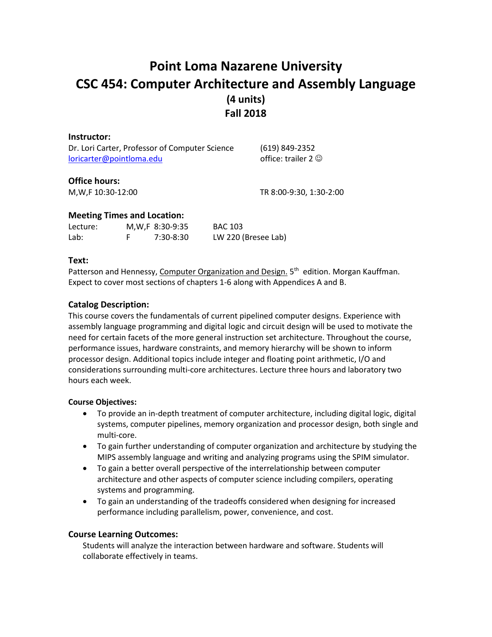# **Point Loma Nazarene University CSC 454: Computer Architecture and Assembly Language (4 units) Fall 2018**

| Instructor:                                    |                           |
|------------------------------------------------|---------------------------|
| Dr. Lori Carter, Professor of Computer Science | (619) 849-2352            |
| loricarter@pointloma.edu                       | office: trailer 2 $\odot$ |
|                                                |                           |

# **Office hours:**

M,W,F 10:30-12:00 TR 8:00-9:30, 1:30-2:00

# **Meeting Times and Location:**

| Lecture: | M, W, F 8:30-9:35 | <b>BAC 103</b>      |
|----------|-------------------|---------------------|
| Lab:     | 7:30-8:30         | LW 220 (Bresee Lab) |

# **Text:**

Patterson and Hennessy, Computer Organization and Design. 5<sup>th</sup> edition. Morgan Kauffman. Expect to cover most sections of chapters 1-6 along with Appendices A and B.

# **Catalog Description:**

This course covers the fundamentals of current pipelined computer designs. Experience with assembly language programming and digital logic and circuit design will be used to motivate the need for certain facets of the more general instruction set architecture. Throughout the course, performance issues, hardware constraints, and memory hierarchy will be shown to inform processor design. Additional topics include integer and floating point arithmetic, I/O and considerations surrounding multi-core architectures. Lecture three hours and laboratory two hours each week.

# **Course Objectives:**

- To provide an in-depth treatment of computer architecture, including digital logic, digital systems, computer pipelines, memory organization and processor design, both single and multi-core.
- To gain further understanding of computer organization and architecture by studying the MIPS assembly language and writing and analyzing programs using the SPIM simulator.
- To gain a better overall perspective of the interrelationship between computer architecture and other aspects of computer science including compilers, operating systems and programming.
- To gain an understanding of the tradeoffs considered when designing for increased performance including parallelism, power, convenience, and cost.

# **Course Learning Outcomes:**

Students will analyze the interaction between hardware and software. Students will collaborate effectively in teams.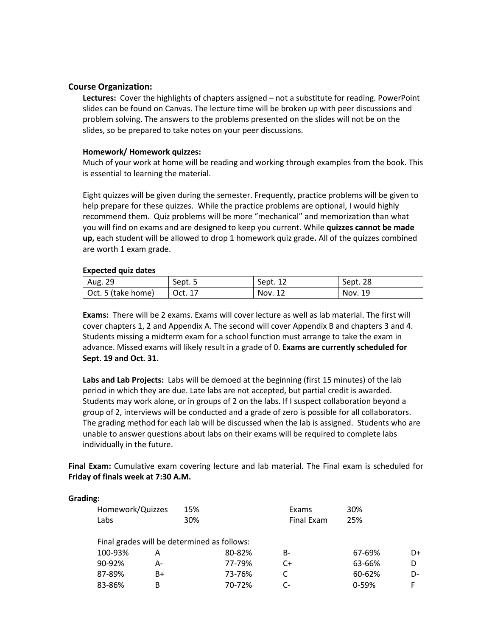## **Course Organization:**

**Lectures:** Cover the highlights of chapters assigned – not a substitute for reading. PowerPoint slides can be found on Canvas. The lecture time will be broken up with peer discussions and problem solving. The answers to the problems presented on the slides will not be on the slides, so be prepared to take notes on your peer discussions.

#### **Homework/ Homework quizzes:**

Much of your work at home will be reading and working through examples from the book. This is essential to learning the material.

Eight quizzes will be given during the semester. Frequently, practice problems will be given to help prepare for these quizzes. While the practice problems are optional, I would highly recommend them. Quiz problems will be more "mechanical" and memorization than what you will find on exams and are designed to keep you current. While **quizzes cannot be made up,** each student will be allowed to drop 1 homework quiz grade**.** All of the quizzes combined are worth 1 exam grade.

#### **Expected quiz dates**

| Aug. 29            | Sept. 5 | Sept. 12 | Sept. 28 |
|--------------------|---------|----------|----------|
| Oct. 5 (take home) | Oct. 17 | Nov. 12  | Nov. 19  |

**Exams:** There will be 2 exams. Exams will cover lecture as well as lab material. The first will cover chapters 1, 2 and Appendix A. The second will cover Appendix B and chapters 3 and 4. Students missing a midterm exam for a school function must arrange to take the exam in advance. Missed exams will likely result in a grade of 0. **Exams are currently scheduled for Sept. 19 and Oct. 31.**

**Labs and Lab Projects:** Labs will be demoed at the beginning (first 15 minutes) of the lab period in which they are due. Late labs are not accepted, but partial credit is awarded. Students may work alone, or in groups of 2 on the labs. If I suspect collaboration beyond a group of 2, interviews will be conducted and a grade of zero is possible for all collaborators. The grading method for each lab will be discussed when the lab is assigned. Students who are unable to answer questions about labs on their exams will be required to complete labs individually in the future.

**Final Exam:** Cumulative exam covering lecture and lab material. The Final exam is scheduled for **Friday of finals week at 7:30 A.M.**

#### **Grading:**

| Homework/Quizzes                            | 15%    | Exams      | 30%       |    |
|---------------------------------------------|--------|------------|-----------|----|
| Labs                                        | 30%    | Final Exam | 25%       |    |
| Final grades will be determined as follows: |        |            |           |    |
| 100-93%<br>А                                | 80-82% | B-         | 67-69%    | D+ |
| 90-92%<br>А-                                | 77-79% | C+         | 63-66%    |    |
| 87-89%<br>B+                                | 73-76% |            | 60-62%    | D- |
| 83-86%<br>В                                 | 70-72% | C-         | $0 - 59%$ |    |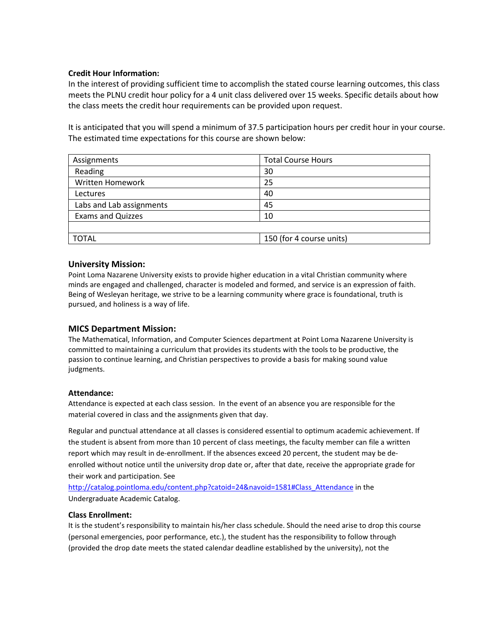## **Credit Hour Information:**

In the interest of providing sufficient time to accomplish the stated course learning outcomes, this class meets the PLNU credit hour policy for a 4 unit class delivered over 15 weeks. Specific details about how the class meets the credit hour requirements can be provided upon request.

It is anticipated that you will spend a minimum of 37.5 participation hours per credit hour in your course. The estimated time expectations for this course are shown below:

| Assignments              | <b>Total Course Hours</b> |
|--------------------------|---------------------------|
| Reading                  | 30                        |
| Written Homework         | 25                        |
| Lectures                 | 40                        |
| Labs and Lab assignments | 45                        |
| <b>Exams and Quizzes</b> | 10                        |
|                          |                           |
| <b>TOTAL</b>             | 150 (for 4 course units)  |

## **University Mission:**

Point Loma Nazarene University exists to provide higher education in a vital Christian community where minds are engaged and challenged, character is modeled and formed, and service is an expression of faith. Being of Wesleyan heritage, we strive to be a learning community where grace is foundational, truth is pursued, and holiness is a way of life.

## **MICS Department Mission:**

The Mathematical, Information, and Computer Sciences department at Point Loma Nazarene University is committed to maintaining a curriculum that provides its students with the tools to be productive, the passion to continue learning, and Christian perspectives to provide a basis for making sound value judgments.

#### **Attendance:**

Attendance is expected at each class session. In the event of an absence you are responsible for the material covered in class and the assignments given that day.

Regular and punctual attendance at all classes is considered essential to optimum academic achievement. If the student is absent from more than 10 percent of class meetings, the faculty member can file a written report which may result in de-enrollment. If the absences exceed 20 percent, the student may be deenrolled without notice until the university drop date or, after that date, receive the appropriate grade for their work and participation. See

[http://catalog.pointloma.edu/content.php?catoid=24&navoid=1581#Class\\_Attendance](http://catalog.pointloma.edu/content.php?catoid=24&navoid=1581#Class_Attendance) in the Undergraduate Academic Catalog.

#### **Class Enrollment:**

It is the student's responsibility to maintain his/her class schedule. Should the need arise to drop this course (personal emergencies, poor performance, etc.), the student has the responsibility to follow through (provided the drop date meets the stated calendar deadline established by the university), not the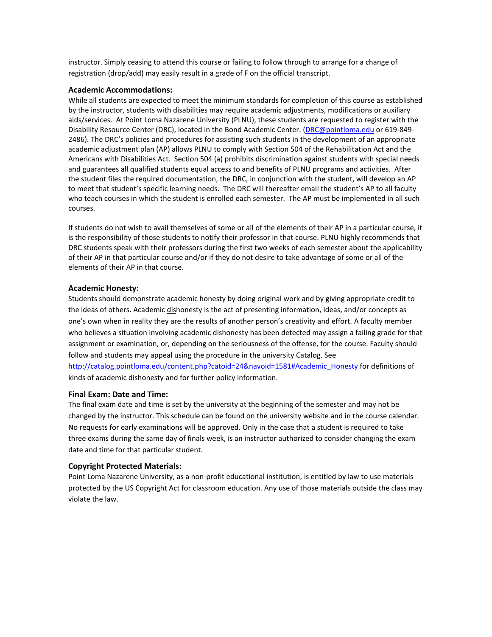instructor. Simply ceasing to attend this course or failing to follow through to arrange for a change of registration (drop/add) may easily result in a grade of F on the official transcript.

#### **Academic Accommodations:**

While all students are expected to meet the minimum standards for completion of this course as established by the instructor, students with disabilities may require academic adjustments, modifications or auxiliary aids/services. At Point Loma Nazarene University (PLNU), these students are requested to register with the Disability Resource Center (DRC), located in the Bond Academic Center. [\(DRC@pointloma.edu](mailto:DRC@pointloma.edu) or 619-849- 2486). The DRC's policies and procedures for assisting such students in the development of an appropriate academic adjustment plan (AP) allows PLNU to comply with Section 504 of the Rehabilitation Act and the Americans with Disabilities Act. Section 504 (a) prohibits discrimination against students with special needs and guarantees all qualified students equal access to and benefits of PLNU programs and activities. After the student files the required documentation, the DRC, in conjunction with the student, will develop an AP to meet that student's specific learning needs. The DRC will thereafter email the student's AP to all faculty who teach courses in which the student is enrolled each semester. The AP must be implemented in all such courses.

If students do not wish to avail themselves of some or all of the elements of their AP in a particular course, it is the responsibility of those students to notify their professor in that course. PLNU highly recommends that DRC students speak with their professors during the first two weeks of each semester about the applicability of their AP in that particular course and/or if they do not desire to take advantage of some or all of the elements of their AP in that course.

### **Academic Honesty:**

Students should demonstrate academic honesty by doing original work and by giving appropriate credit to the ideas of others. Academic dishonesty is the act of presenting information, ideas, and/or concepts as one's own when in reality they are the results of another person's creativity and effort. A faculty member who believes a situation involving academic dishonesty has been detected may assign a failing grade for that assignment or examination, or, depending on the seriousness of the offense, for the course. Faculty should follow and students may appeal using the procedure in the university Catalog. See

[http://catalog.pointloma.edu/content.php?catoid=24&navoid=1581#Academic\\_Honesty](http://catalog.pointloma.edu/content.php?catoid=24&navoid=1581#Academic_Honesty) for definitions of kinds of academic dishonesty and for further policy information.

#### **Final Exam: Date and Time:**

The final exam date and time is set by the university at the beginning of the semester and may not be changed by the instructor. This schedule can be found on the university website and in the course calendar. No requests for early examinations will be approved. Only in the case that a student is required to take three exams during the same day of finals week, is an instructor authorized to consider changing the exam date and time for that particular student.

## **Copyright Protected Materials:**

Point Loma Nazarene University, as a non-profit educational institution, is entitled by law to use materials protected by the US Copyright Act for classroom education. Any use of those materials outside the class may violate the law.